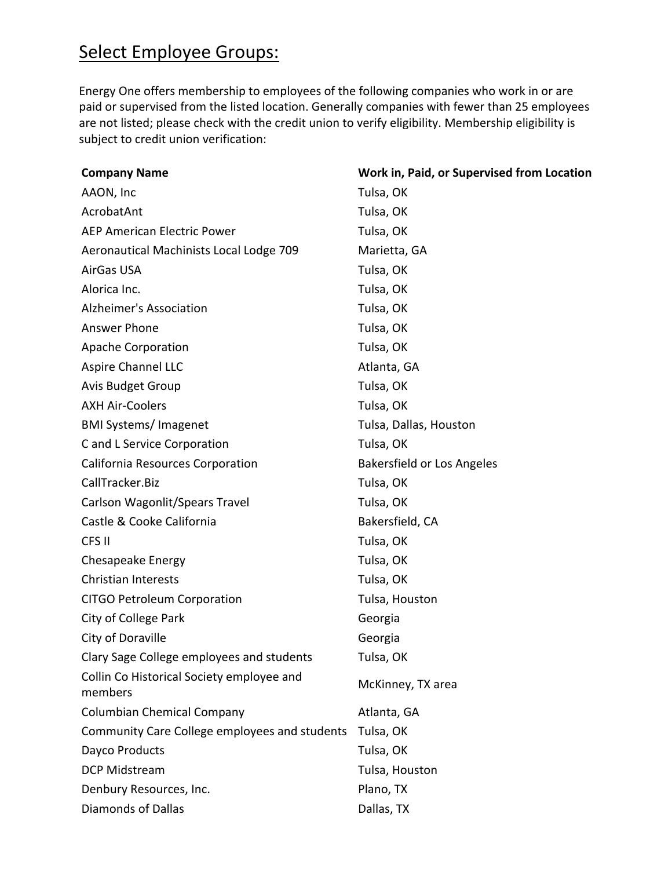## Select Employee Groups:

Energy One offers membership to employees of the following companies who work in or are paid or supervised from the listed location. Generally companies with fewer than 25 employees are not listed; please check with the credit union to verify eligibility. Membership eligibility is subject to credit union verification:

| <b>Company Name</b>                                  | Work in, Paid, or Supervised from Location |
|------------------------------------------------------|--------------------------------------------|
| AAON, Inc                                            | Tulsa, OK                                  |
| AcrobatAnt                                           | Tulsa, OK                                  |
| <b>AEP American Electric Power</b>                   | Tulsa, OK                                  |
| Aeronautical Machinists Local Lodge 709              | Marietta, GA                               |
| AirGas USA                                           | Tulsa, OK                                  |
| Alorica Inc.                                         | Tulsa, OK                                  |
| Alzheimer's Association                              | Tulsa, OK                                  |
| Answer Phone                                         | Tulsa, OK                                  |
| Apache Corporation                                   | Tulsa, OK                                  |
| <b>Aspire Channel LLC</b>                            | Atlanta, GA                                |
| Avis Budget Group                                    | Tulsa, OK                                  |
| <b>AXH Air-Coolers</b>                               | Tulsa, OK                                  |
| <b>BMI Systems/Imagenet</b>                          | Tulsa, Dallas, Houston                     |
| C and L Service Corporation                          | Tulsa, OK                                  |
| California Resources Corporation                     | <b>Bakersfield or Los Angeles</b>          |
| CallTracker.Biz                                      | Tulsa, OK                                  |
| Carlson Wagonlit/Spears Travel                       | Tulsa, OK                                  |
| Castle & Cooke California                            | Bakersfield, CA                            |
| CFS II                                               | Tulsa, OK                                  |
| <b>Chesapeake Energy</b>                             | Tulsa, OK                                  |
| <b>Christian Interests</b>                           | Tulsa, OK                                  |
| <b>CITGO Petroleum Corporation</b>                   | Tulsa, Houston                             |
| City of College Park                                 | Georgia                                    |
| City of Doraville                                    | Georgia                                    |
| Clary Sage College employees and students            | Tulsa, OK                                  |
| Collin Co Historical Society employee and<br>members | McKinney, TX area                          |
| <b>Columbian Chemical Company</b>                    | Atlanta, GA                                |
| Community Care College employees and students        | Tulsa, OK                                  |
| Dayco Products                                       | Tulsa, OK                                  |
| DCP Midstream                                        | Tulsa, Houston                             |
| Denbury Resources, Inc.                              | Plano, TX                                  |
| Diamonds of Dallas                                   | Dallas, TX                                 |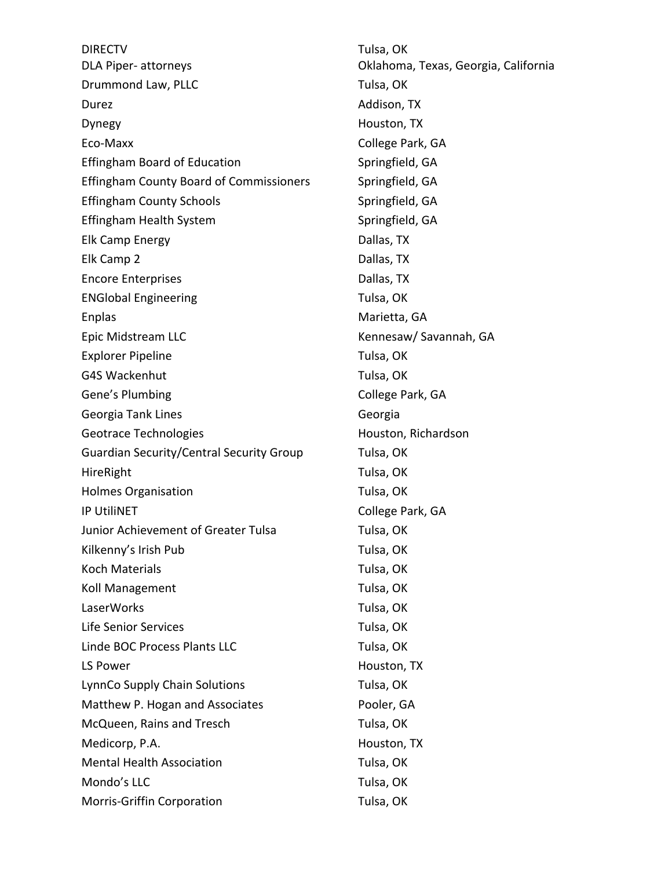DIRECTV DLA Piper‐ attorneys Drummond Law, PLLC Tulsa, OK Durez Addison, TX Dynegy **Houston, TX** Eco-Maxx College Park, GA Effingham Board of Education Springfield, GA Effingham County Board of Commissioners Springfield, GA Effingham County Schools Springfield, GA Effingham Health System Springfield, GA Elk Camp Energy Dallas, TX Elk Camp 2 Dallas, TX Encore Enterprises **Dallas**, TX ENGlobal Engineering Tulsa, OK Enplas Marietta, GA Epic Midstream LLC **Kennesaw/ Savannah, GA** Explorer Pipeline Tulsa, OK G4S Wackenhut Tulsa, OK Gene's Plumbing College Park, GA Georgia Tank Lines **Georgia** Georgia Geotrace Technologies **Houston, Richardson** Guardian Security/Central Security Group Tulsa, OK HireRight Tulsa, OK Holmes Organisation **Tulsa, OK** IP UtiliNET College Park, GA Junior Achievement of Greater Tulsa Tulsa, OK Kilkenny's Irish Pub Tulsa, OK Koch Materials Tulsa, OK Koll Management Tulsa, OK LaserWorks Tulsa, OK Life Senior Services Tulsa, OK Linde BOC Process Plants LLC Tulsa, OK LS Power Houston, TX LynnCo Supply Chain Solutions Tulsa, OK Matthew P. Hogan and Associates Pooler, GA McQueen, Rains and Tresch Tulsa, OK Medicorp, P.A. Sandbook and the Medicorp, P.A. Houston, TX Mental Health Association Tulsa, OK Mondo's LLC **Tulsa**, OK Morris-Griffin Corporation Tulsa, OK

Tulsa, OK Oklahoma, Texas, Georgia, California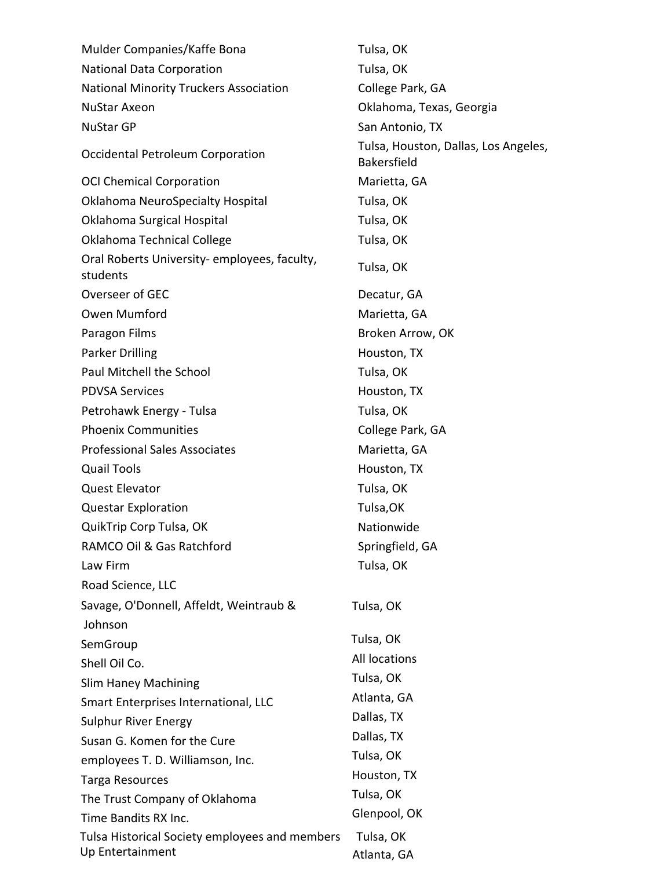| Mulder Companies/Kaffe Bona                                        | Tulsa, OK                                                  |  |
|--------------------------------------------------------------------|------------------------------------------------------------|--|
| <b>National Data Corporation</b>                                   | Tulsa, OK                                                  |  |
| <b>National Minority Truckers Association</b>                      | College Park, GA                                           |  |
| <b>NuStar Axeon</b>                                                | Oklahoma, Texas, Georgia                                   |  |
| <b>NuStar GP</b>                                                   | San Antonio, TX                                            |  |
| Occidental Petroleum Corporation                                   | Tulsa, Houston, Dallas, Los Angeles,<br><b>Bakersfield</b> |  |
| <b>OCI Chemical Corporation</b>                                    | Marietta, GA                                               |  |
| <b>Oklahoma NeuroSpecialty Hospital</b>                            | Tulsa, OK                                                  |  |
| Oklahoma Surgical Hospital                                         | Tulsa, OK                                                  |  |
| Oklahoma Technical College                                         | Tulsa, OK                                                  |  |
| Oral Roberts University-employees, faculty,<br>students            | Tulsa, OK                                                  |  |
| Overseer of GEC                                                    | Decatur, GA                                                |  |
| Owen Mumford                                                       | Marietta, GA                                               |  |
| Paragon Films                                                      | Broken Arrow, OK                                           |  |
| Parker Drilling                                                    | Houston, TX                                                |  |
| Paul Mitchell the School                                           | Tulsa, OK                                                  |  |
| <b>PDVSA Services</b>                                              | Houston, TX                                                |  |
| Petrohawk Energy - Tulsa                                           | Tulsa, OK                                                  |  |
| <b>Phoenix Communities</b>                                         | College Park, GA                                           |  |
| <b>Professional Sales Associates</b>                               | Marietta, GA                                               |  |
| <b>Quail Tools</b>                                                 | Houston, TX                                                |  |
| <b>Quest Elevator</b>                                              | Tulsa, OK                                                  |  |
| <b>Questar Exploration</b>                                         | Tulsa, OK                                                  |  |
| QuikTrip Corp Tulsa, OK                                            | Nationwide                                                 |  |
| RAMCO Oil & Gas Ratchford                                          | Springfield, GA                                            |  |
| Law Firm                                                           | Tulsa, OK                                                  |  |
| Road Science, LLC                                                  |                                                            |  |
| Savage, O'Donnell, Affeldt, Weintraub &                            | Tulsa, OK                                                  |  |
| Johnson                                                            |                                                            |  |
| SemGroup                                                           | Tulsa, OK                                                  |  |
| Shell Oil Co.                                                      | All locations                                              |  |
| <b>Slim Haney Machining</b>                                        | Tulsa, OK                                                  |  |
| Smart Enterprises International, LLC                               | Atlanta, GA                                                |  |
| Sulphur River Energy                                               | Dallas, TX                                                 |  |
| Susan G. Komen for the Cure                                        | Dallas, TX                                                 |  |
| employees T. D. Williamson, Inc.                                   | Tulsa, OK                                                  |  |
| <b>Targa Resources</b>                                             | Houston, TX                                                |  |
| The Trust Company of Oklahoma                                      | Tulsa, OK                                                  |  |
| Time Bandits RX Inc.                                               | Glenpool, OK                                               |  |
| Tulsa Historical Society employees and members<br>Up Entertainment | Tulsa, OK<br>Atlanta, GA                                   |  |